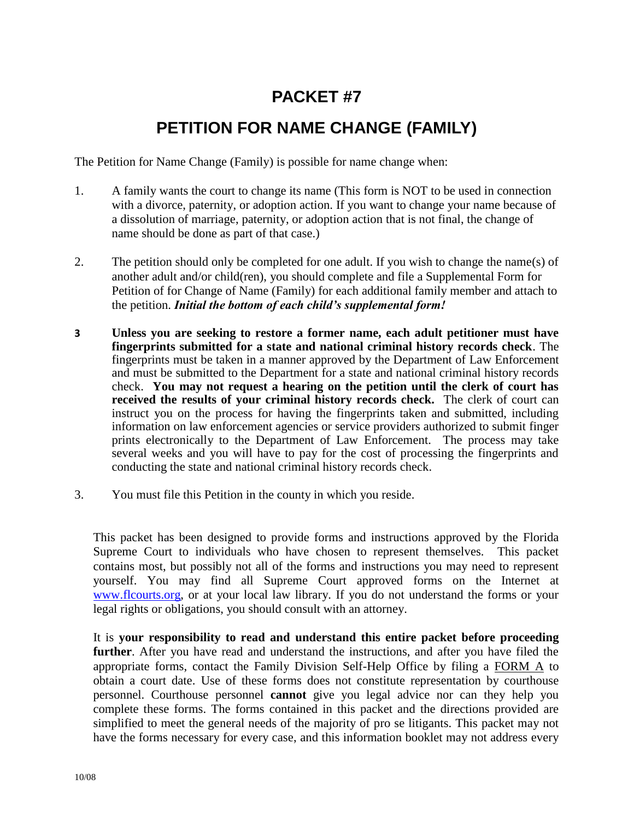# **PACKET #7**

## **PETITION FOR NAME CHANGE (FAMILY)**

The Petition for Name Change (Family) is possible for name change when:

- 1. A family wants the court to change its name (This form is NOT to be used in connection with a divorce, paternity, or adoption action. If you want to change your name because of a dissolution of marriage, paternity, or adoption action that is not final, the change of name should be done as part of that case.)
- 2. The petition should only be completed for one adult. If you wish to change the name(s) of another adult and/or child(ren), you should complete and file a Supplemental Form for Petition of for Change of Name (Family) for each additional family member and attach to the petition. *Initial the bottom of each child's supplemental form!*
- **3 Unless you are seeking to restore a former name, each adult petitioner must have fingerprints submitted for a state and national criminal history records check**. The fingerprints must be taken in a manner approved by the Department of Law Enforcement and must be submitted to the Department for a state and national criminal history records check. **You may not request a hearing on the petition until the clerk of court has received the results of your criminal history records check.** The clerk of court can instruct you on the process for having the fingerprints taken and submitted, including information on law enforcement agencies or service providers authorized to submit finger prints electronically to the Department of Law Enforcement. The process may take several weeks and you will have to pay for the cost of processing the fingerprints and conducting the state and national criminal history records check.
- 3. You must file this Petition in the county in which you reside.

This packet has been designed to provide forms and instructions approved by the Florida Supreme Court to individuals who have chosen to represent themselves. This packet contains most, but possibly not all of the forms and instructions you may need to represent yourself. You may find all Supreme Court approved forms on the Internet at [www.flcourts.org,](http://www.flcourts.org/) or at your local law library. If you do not understand the forms or your legal rights or obligations, you should consult with an attorney.

It is **your responsibility to read and understand this entire packet before proceeding further**. After you have read and understand the instructions, and after you have filed the appropriate forms, contact the Family Division Self-Help Office by filing a FORM A to obtain a court date. Use of these forms does not constitute representation by courthouse personnel. Courthouse personnel **cannot** give you legal advice nor can they help you complete these forms. The forms contained in this packet and the directions provided are simplified to meet the general needs of the majority of pro se litigants. This packet may not have the forms necessary for every case, and this information booklet may not address every